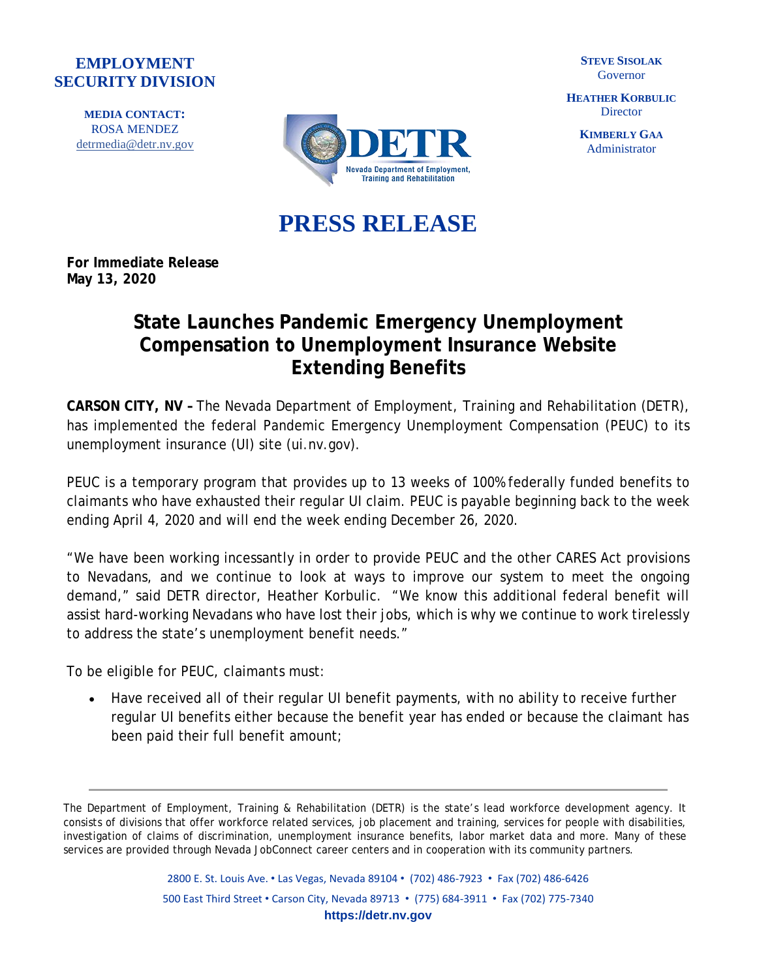## **EMPLOYMENT SECURITY DIVISION**

**MEDIA CONTACT:** ROSA MENDEZ [detrmedia@detr.nv.gov](mailto:detrmedia@detr.nv.gov)



**STEVE SISOLAK** Governor

**HEATHER KORBULIC Director** 

> **KIMBERLY GAA** Administrator

**PRESS RELEASE**

**For Immediate Release May 13, 2020**

## **State Launches Pandemic Emergency Unemployment Compensation to Unemployment Insurance Website Extending Benefits**

**CARSON CITY, NV –** The Nevada Department of Employment, Training and Rehabilitation (DETR), has implemented the federal Pandemic Emergency Unemployment Compensation (PEUC) to its unemployment insurance (UI) site (ui.nv.gov).

PEUC is a temporary program that provides up to 13 weeks of 100% federally funded benefits to claimants who have exhausted their regular UI claim. PEUC is payable beginning back to the week ending April 4, 2020 and will end the week ending December 26, 2020.

"We have been working incessantly in order to provide PEUC and the other CARES Act provisions to Nevadans, and we continue to look at ways to improve our system to meet the ongoing demand," said DETR director, Heather Korbulic. "We know this additional federal benefit will assist hard-working Nevadans who have lost their jobs, which is why we continue to work tirelessly to address the state's unemployment benefit needs."

To be eligible for PEUC, claimants must:

• Have received all of their regular UI benefit payments, with no ability to receive further regular UI benefits either because the benefit year has ended or because the claimant has been paid their full benefit amount;

The Department of Employment, Training & Rehabilitation (DETR) is the state's lead workforce development agency. It consists of divisions that offer workforce related services, job placement and training, services for people with disabilities, investigation of claims of discrimination, unemployment insurance benefits, labor market data and more. Many of these services are provided through Nevada JobConnect career centers and in cooperation with its community partners.